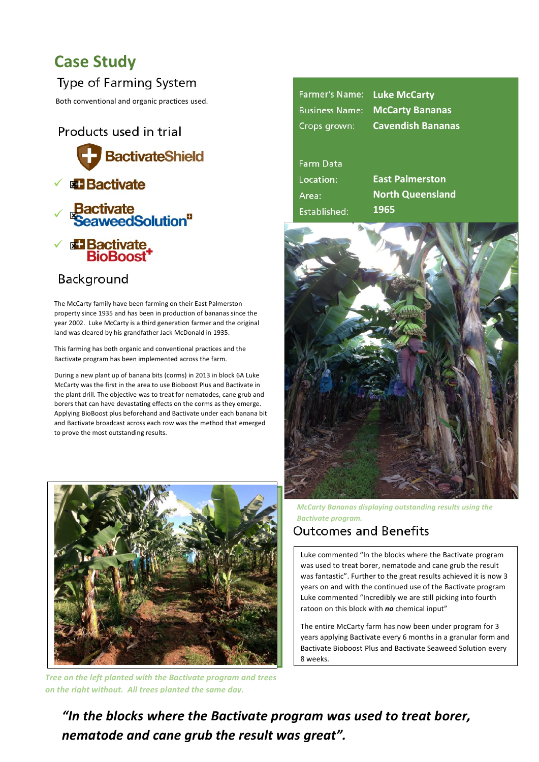# **Case Study**

### Type of Farming System

Both conventional and organic practices used.

Products used in trial



## Background

The McCarty family have been farming on their East Palmerston property since 1935 and has been in production of bananas since the year 2002. Luke McCarty is a third generation farmer and the original land was cleared by his grandfather Jack McDonald in 1935.

This farming has both organic and conventional practices and the Bactivate program has been implemented across the farm.

During a new plant up of banana bits (corms) in 2013 in block 6A Luke McCarty was the first in the area to use Bioboost Plus and Bactivate in the plant drill. The objective was to treat for nematodes, cane grub and borers that can have devastating effects on the corms as they emerge. Applying BioBoost plus beforehand and Bactivate under each banana bit and Bactivate broadcast across each row was the method that emerged to prove the most outstanding results.



**Tree on the left planted with the Bactivate program and trees** *on the right without. All trees planted the same day.* 

| Farmer's Name: Luke McCarty |                                       |
|-----------------------------|---------------------------------------|
|                             | <b>Business Name: McCarty Bananas</b> |
| Crops grown:                | <b>Cavendish Bananas</b>              |

#### **Farm Data** Location: **East Palmerston** Area: **North Queensland 1965** Established:



*McCarty Bananas displaying outstanding results using the* **Bactivate program.** 

### **Outcomes and Benefits**

Luke commented "In the blocks where the Bactivate program was used to treat borer, nematode and cane grub the result was fantastic". Further to the great results achieved it is now 3 years on and with the continued use of the Bactivate program Luke commented "Incredibly we are still picking into fourth ratoon on this block with *no* chemical input"

The entire McCarty farm has now been under program for 3 years applying Bactivate every 6 months in a granular form and Bactivate Bioboost Plus and Bactivate Seaweed Solution every 8 weeks. 

"In the blocks where the Bactivate program was used to treat borer, *nematode and cane grub the result was great".*